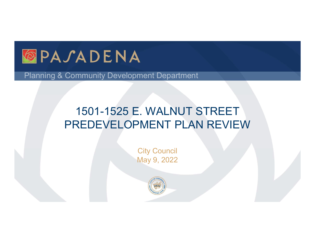

Planning & Community Development Department

## 1501-1525 E. WALNUT STREET PREDEVELOPMENT PLAN REVIEW

**City Council** May 9, 2022

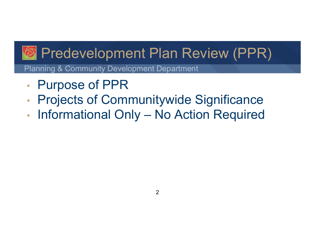# *<b>B* Predevelopment Plan Review (PPR) **• Predevelopment Plan Review (PPR)**<br>Planning & Community Development Department<br>• Projects of Communitywide Significance<br>• Informational Only – No Action Required

Planning & Community Development Department

- Purpose of PPR
- Projects of Communitywide Significance
-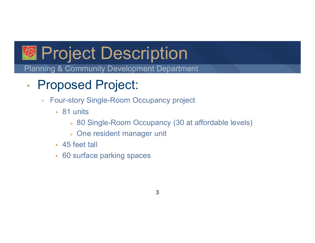

Planning & Community Development Department

- Proposed Project:
	- > Four-story Single-Room Occupancy project
		- 81 units
			- » 80 Single-Room Occupancy (30 at affordable levels)
			- » One resident manager unit
		- 45 feet tall
		- 60 surface parking spaces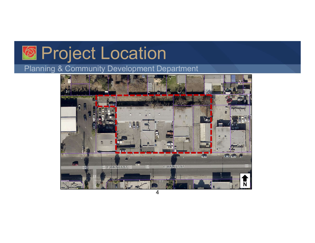# **Re** Project Location

#### Planning & Community Development Department

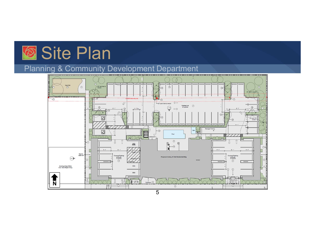## **Site Plan**

#### Planning & Community Development Department

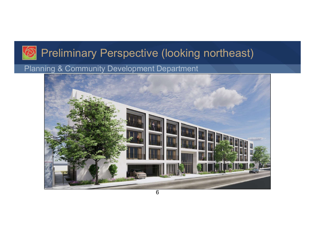## Preliminary Perspective (looking northeast)

#### Planning & Community Development Department

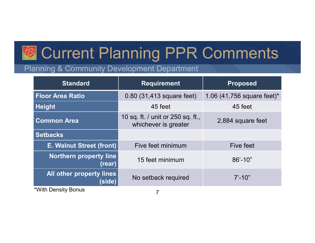# Current Planning PPR Comments

#### Planning & Community Development Department

| <b>Current Planning PPR Comments</b>      |                                                           |                              |  |
|-------------------------------------------|-----------------------------------------------------------|------------------------------|--|
| anning & Community Development Department |                                                           |                              |  |
| <b>Standard</b>                           | <b>Requirement</b>                                        | <b>Proposed</b>              |  |
| <b>Floor Area Ratio</b>                   | 0.80 (31,413 square feet)                                 | 1.06 $(41,756$ square feet)* |  |
| <b>Height</b>                             | 45 feet                                                   | 45 feet                      |  |
| <b>Common Area</b>                        | 10 sq. ft. / unit or 250 sq. ft.,<br>whichever is greater | 2,884 square feet            |  |
| <b>Setbacks</b>                           |                                                           |                              |  |
| <b>E. Walnut Street (front)</b>           | Five feet minimum                                         | Five feet                    |  |
| <b>Northern property line</b><br>(rear)   | 15 feet minimum                                           | $86' - 10"$                  |  |
| All other property lines<br>(side)        | No setback required                                       | $7' - 10"$                   |  |
| *With Density Bonus                       | $\overline{7}$                                            |                              |  |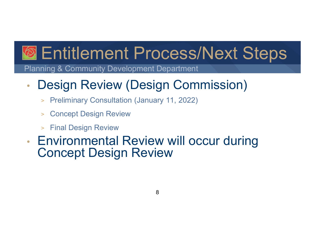# **<sup><sup>2</sup>**</sup> Entitlement Process/Next Steps

Planning & Community Development Department

## • Design Review (Design Commission)

- > Preliminary Consultation (January 11, 2022)
- > Concept Design Review
- > Final Design Review
- Environmental Review will occur during Concept Design Review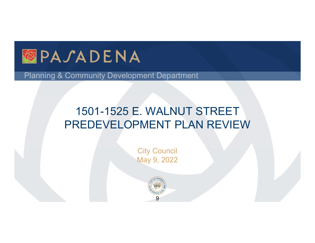

Planning & Community Development Department

## 1501-1525 E. WALNUT STREET PREDEVELOPMENT PLAN REVIEW

**City Council** May 9, 2022